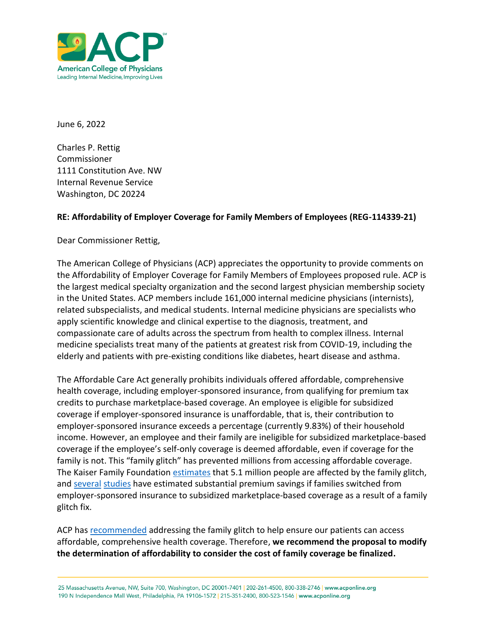

June 6, 2022

Charles P. Rettig Commissioner 1111 Constitution Ave. NW Internal Revenue Service Washington, DC 20224

## **RE: Affordability of Employer Coverage for Family Members of Employees (REG-114339-21)**

Dear Commissioner Rettig,

The American College of Physicians (ACP) appreciates the opportunity to provide comments on the Affordability of Employer Coverage for Family Members of Employees proposed rule. ACP is the largest medical specialty organization and the second largest physician membership society in the United States. ACP members include 161,000 internal medicine physicians (internists), related subspecialists, and medical students. Internal medicine physicians are specialists who apply scientific knowledge and clinical expertise to the diagnosis, treatment, and compassionate care of adults across the spectrum from health to complex illness. Internal medicine specialists treat many of the patients at greatest risk from COVID-19, including the elderly and patients with pre-existing conditions like diabetes, heart disease and asthma.

The Affordable Care Act generally prohibits individuals offered affordable, comprehensive health coverage, including employer-sponsored insurance, from qualifying for premium tax credits to purchase marketplace-based coverage. An employee is eligible for subsidized coverage if employer-sponsored insurance is unaffordable, that is, their contribution to employer-sponsored insurance exceeds a percentage (currently 9.83%) of their household income. However, an employee and their family are ineligible for subsidized marketplace-based coverage if the employee's self-only coverage is deemed affordable, even if coverage for the family is not. This "family glitch" has prevented millions from accessing affordable coverage. The Kaiser Family Foundation [estimates](https://www.kff.org/health-reform/issue-brief/the-aca-family-glitch-and-affordability-of-employer-coverage/) that 5.1 million people are affected by the family glitch, and [several](https://www.urban.org/research/publication/changing-family-glitch-would-make-health-coverage-more-affordable-many-families) [studies](https://www.healthaffairs.org/doi/10.1377/hlthaff.2015.1491) have estimated substantial premium savings if families switched from employer-sponsored insurance to subsidized marketplace-based coverage as a result of a family glitch fix.

ACP has [recommended](https://www.acponline.org/acp_policy/policies/insurance_cost_sharing_2016.pdf) addressing the family glitch to help ensure our patients can access affordable, comprehensive health coverage. Therefore, **we recommend the proposal to modify the determination of affordability to consider the cost of family coverage be finalized.**

25 Massachusetts Avenue, NW, Suite 700, Washington, DC 20001-7401 | 202-261-4500, 800-338-2746 | www.acponline.org 190 N Independence Mall West, Philadelphia, PA 19106-1572 | 215-351-2400, 800-523-1546 | www.acponline.org